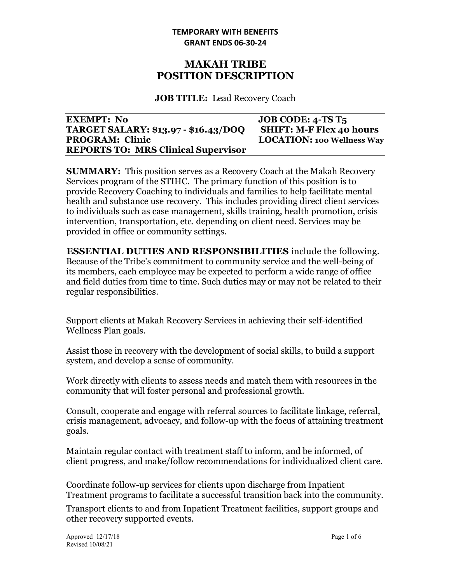## **MAKAH TRIBE POSITION DESCRIPTION**

**JOB TITLE:** Lead Recovery Coach

| <b>EXEMPT: No</b>                           | JOB CODE: $4$ -TS T <sub>5</sub>  |
|---------------------------------------------|-----------------------------------|
| <b>TARGET SALARY: \$13.97 - \$16.43/DOQ</b> | <b>SHIFT: M-F Flex 40 hours</b>   |
| <b>PROGRAM: Clinic</b>                      | <b>LOCATION: 100 Wellness Way</b> |
| <b>REPORTS TO: MRS Clinical Supervisor</b>  |                                   |

**SUMMARY:** This position serves as a Recovery Coach at the Makah Recovery Services program of the STIHC. The primary function of this position is to provide Recovery Coaching to individuals and families to help facilitate mental health and substance use recovery. This includes providing direct client services to individuals such as case management, skills training, health promotion, crisis intervention, transportation, etc. depending on client need. Services may be provided in office or community settings.

**ESSENTIAL DUTIES AND RESPONSIBILITIES** include the following. Because of the Tribe's commitment to community service and the well-being of its members, each employee may be expected to perform a wide range of office and field duties from time to time. Such duties may or may not be related to their regular responsibilities.

Support clients at Makah Recovery Services in achieving their self-identified Wellness Plan goals.

Assist those in recovery with the development of social skills, to build a support system, and develop a sense of community.

Work directly with clients to assess needs and match them with resources in the community that will foster personal and professional growth.

Consult, cooperate and engage with referral sources to facilitate linkage, referral, crisis management, advocacy, and follow-up with the focus of attaining treatment goals.

Maintain regular contact with treatment staff to inform, and be informed, of client progress, and make/follow recommendations for individualized client care.

Coordinate follow-up services for clients upon discharge from Inpatient Treatment programs to facilitate a successful transition back into the community.

Transport clients to and from Inpatient Treatment facilities, support groups and other recovery supported events.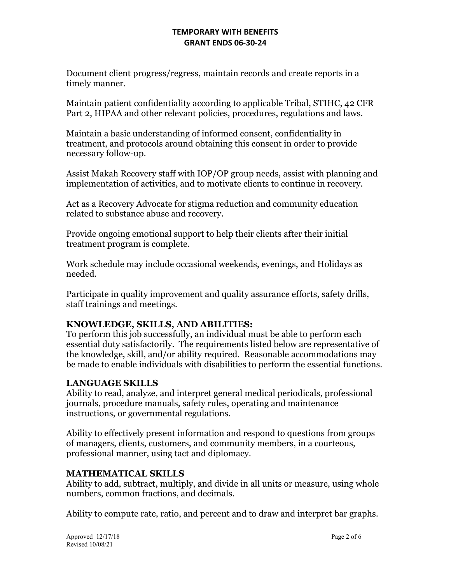Document client progress/regress, maintain records and create reports in a timely manner.

Maintain patient confidentiality according to applicable Tribal, STIHC, 42 CFR Part 2, HIPAA and other relevant policies, procedures, regulations and laws.

Maintain a basic understanding of informed consent, confidentiality in treatment, and protocols around obtaining this consent in order to provide necessary follow-up.

Assist Makah Recovery staff with IOP/OP group needs, assist with planning and implementation of activities, and to motivate clients to continue in recovery.

Act as a Recovery Advocate for stigma reduction and community education related to substance abuse and recovery.

Provide ongoing emotional support to help their clients after their initial treatment program is complete.

Work schedule may include occasional weekends, evenings, and Holidays as needed.

Participate in quality improvement and quality assurance efforts, safety drills, staff trainings and meetings.

### **KNOWLEDGE, SKILLS, AND ABILITIES:**

To perform this job successfully, an individual must be able to perform each essential duty satisfactorily. The requirements listed below are representative of the knowledge, skill, and/or ability required. Reasonable accommodations may be made to enable individuals with disabilities to perform the essential functions.

# **LANGUAGE SKILLS**

Ability to read, analyze, and interpret general medical periodicals, professional journals, procedure manuals, safety rules, operating and maintenance instructions, or governmental regulations.

Ability to effectively present information and respond to questions from groups of managers, clients, customers, and community members, in a courteous, professional manner, using tact and diplomacy.

### **MATHEMATICAL SKILLS**

Ability to add, subtract, multiply, and divide in all units or measure, using whole numbers, common fractions, and decimals.

Ability to compute rate, ratio, and percent and to draw and interpret bar graphs.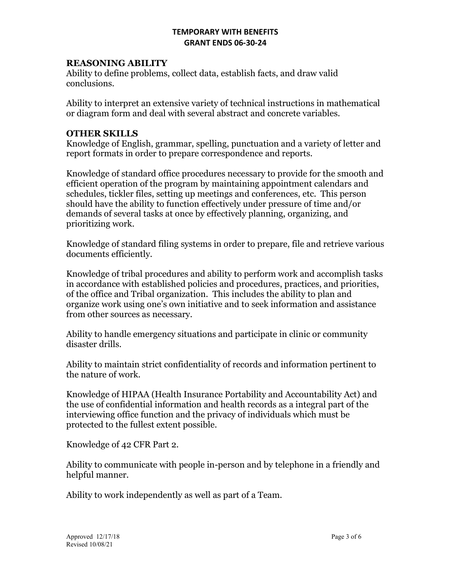### **REASONING ABILITY**

Ability to define problems, collect data, establish facts, and draw valid conclusions.

Ability to interpret an extensive variety of technical instructions in mathematical or diagram form and deal with several abstract and concrete variables.

#### **OTHER SKILLS**

Knowledge of English, grammar, spelling, punctuation and a variety of letter and report formats in order to prepare correspondence and reports.

Knowledge of standard office procedures necessary to provide for the smooth and efficient operation of the program by maintaining appointment calendars and schedules, tickler files, setting up meetings and conferences, etc. This person should have the ability to function effectively under pressure of time and/or demands of several tasks at once by effectively planning, organizing, and prioritizing work.

Knowledge of standard filing systems in order to prepare, file and retrieve various documents efficiently.

Knowledge of tribal procedures and ability to perform work and accomplish tasks in accordance with established policies and procedures, practices, and priorities, of the office and Tribal organization. This includes the ability to plan and organize work using one's own initiative and to seek information and assistance from other sources as necessary.

Ability to handle emergency situations and participate in clinic or community disaster drills.

Ability to maintain strict confidentiality of records and information pertinent to the nature of work.

Knowledge of HIPAA (Health Insurance Portability and Accountability Act) and the use of confidential information and health records as a integral part of the interviewing office function and the privacy of individuals which must be protected to the fullest extent possible.

Knowledge of 42 CFR Part 2.

Ability to communicate with people in-person and by telephone in a friendly and helpful manner.

Ability to work independently as well as part of a Team.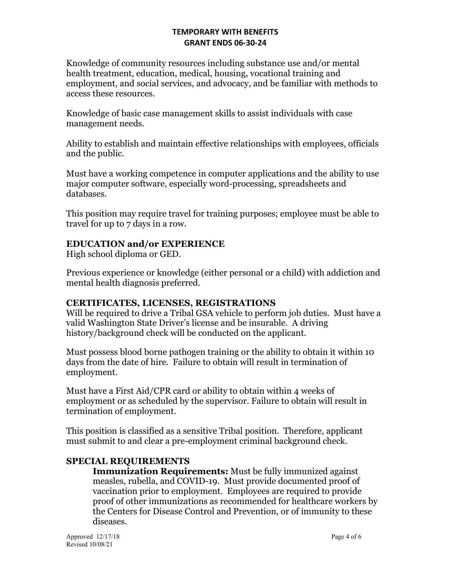Knowledge of community resources including substance use and/or mental health treatment, education, medical, housing, vocational training and employment, and social services, and advocacy, and be familiar with methods to access these resources.

Knowledge of basic case management skills to assist individuals with case management needs.

Ability to establish and maintain effective relationships with employees, officials and the public.

Must have a working competence in computer applications and the ability to use major computer software, especially word-processing, spreadsheets and databases.

This position may require travel for training purposes; employee must be able to travel for up to 7 days in a row.

## **EDUCATION and/or EXPERIENCE**

High school diploma or GED.

Previous experience or knowledge (either personal or a child) with addiction and mental health diagnosis preferred.

### **CERTIFICATES, LICENSES, REGISTRATIONS**

Will be required to drive a Tribal GSA vehicle to perform job duties. Must have a valid Washington State Driver's license and be insurable. A driving history/background check will be conducted on the applicant.

Must possess blood borne pathogen training or the ability to obtain it within 10 days from the date of hire. Failure to obtain will result in termination of employment.

Must have a First Aid/CPR card or ability to obtain within 4 weeks of employment or as scheduled by the supervisor. Failure to obtain will result in termination of employment.

This position is classified as a sensitive Tribal position. Therefore, applicant must submit to and clear a pre-employment criminal background check.

# **SPECIAL REQUIREMENTS**

**Immunization Requirements:** Must be fully immunized against measles, rubella, and COVID-19. Must provide documented proof of vaccination prior to employment. Employees are required to provide proof of other immunizations as recommended for healthcare workers by the Centers for Disease Control and Prevention, or of immunity to these diseases.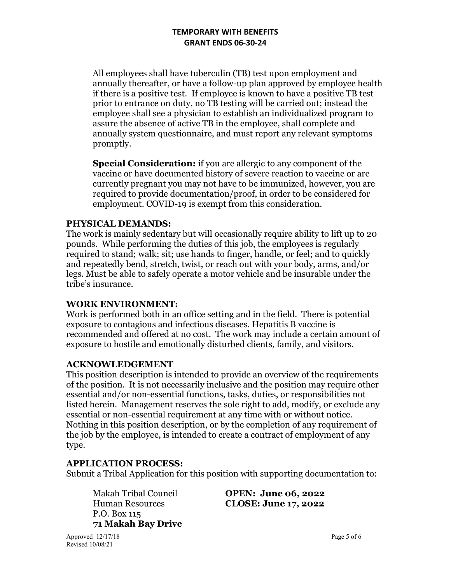All employees shall have tuberculin (TB) test upon employment and annually thereafter, or have a follow-up plan approved by employee health if there is a positive test. If employee is known to have a positive TB test prior to entrance on duty, no TB testing will be carried out; instead the employee shall see a physician to establish an individualized program to assure the absence of active TB in the employee, shall complete and annually system questionnaire, and must report any relevant symptoms promptly.

**Special Consideration:** if you are allergic to any component of the vaccine or have documented history of severe reaction to vaccine or are currently pregnant you may not have to be immunized, however, you are required to provide documentation/proof, in order to be considered for employment. COVID-19 is exempt from this consideration.

### **PHYSICAL DEMANDS:**

The work is mainly sedentary but will occasionally require ability to lift up to 20 pounds. While performing the duties of this job, the employees is regularly required to stand; walk; sit; use hands to finger, handle, or feel; and to quickly and repeatedly bend, stretch, twist, or reach out with your body, arms, and/or legs. Must be able to safely operate a motor vehicle and be insurable under the tribe's insurance.

### **WORK ENVIRONMENT:**

Work is performed both in an office setting and in the field. There is potential exposure to contagious and infectious diseases. Hepatitis B vaccine is recommended and offered at no cost. The work may include a certain amount of exposure to hostile and emotionally disturbed clients, family, and visitors.

### **ACKNOWLEDGEMENT**

This position description is intended to provide an overview of the requirements of the position. It is not necessarily inclusive and the position may require other essential and/or non-essential functions, tasks, duties, or responsibilities not listed herein. Management reserves the sole right to add, modify, or exclude any essential or non-essential requirement at any time with or without notice. Nothing in this position description, or by the completion of any requirement of the job by the employee, is intended to create a contract of employment of any type.

#### **APPLICATION PROCESS:**

Submit a Tribal Application for this position with supporting documentation to:

P.O. Box 115 **71 Makah Bay Drive** 

Makah Tribal Council **OPEN: June 06, 2022** Human Resources **CLOSE: June 17, 2022**

Approved  $12/17/18$  Page 5 of 6 Revised 10/08/21